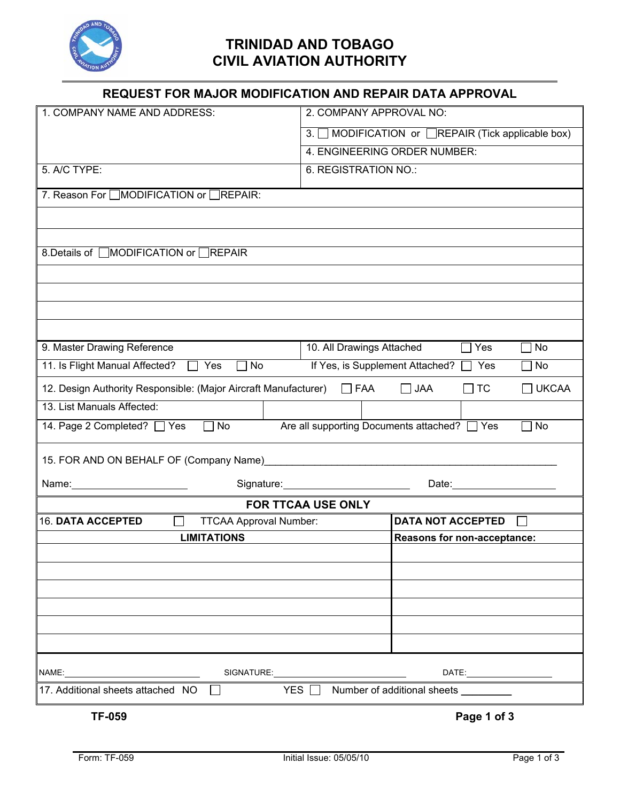

## **TRINIDAD AND TOBAGO CIVIL AVIATION AUTHORITY**

| REQUEST FOR MAJOR MODIFICATION AND REPAIR DATA APPROVAL                                                            |                                                        |  |
|--------------------------------------------------------------------------------------------------------------------|--------------------------------------------------------|--|
| 1. COMPANY NAME AND ADDRESS:                                                                                       | 2. COMPANY APPROVAL NO:                                |  |
|                                                                                                                    | 3. MODIFICATION or <b>REPAIR</b> (Tick applicable box) |  |
|                                                                                                                    | 4. ENGINEERING ORDER NUMBER:                           |  |
| 5. A/C TYPE:                                                                                                       | 6. REGISTRATION NO.:                                   |  |
| 7. Reason For □MODIFICATION or □REPAIR:                                                                            |                                                        |  |
|                                                                                                                    |                                                        |  |
|                                                                                                                    |                                                        |  |
| 8. Details of □MODIFICATION or □REPAIR                                                                             |                                                        |  |
|                                                                                                                    |                                                        |  |
|                                                                                                                    |                                                        |  |
|                                                                                                                    |                                                        |  |
|                                                                                                                    |                                                        |  |
| 9. Master Drawing Reference                                                                                        | 10. All Drawings Attached<br>$\Box$ Yes<br>No          |  |
| 11. Is Flight Manual Affected?<br>Yes<br>No                                                                        | If Yes, is Supplement Attached?  <br>Yes<br>No         |  |
| 12. Design Authority Responsible: (Major Aircraft Manufacturer)   FAA                                              | $\Box$ JAA<br>$\Box$ TC<br><b>UKCAA</b>                |  |
| 13. List Manuals Affected:                                                                                         |                                                        |  |
| Are all supporting Documents attached? TYes<br>14. Page 2 Completed? □ Yes<br>No<br><b>No</b>                      |                                                        |  |
|                                                                                                                    |                                                        |  |
|                                                                                                                    |                                                        |  |
| Signature: Management Communications<br>Date: <u>Date:</u>                                                         |                                                        |  |
| <b>FOR TTCAA USE ONLY</b><br><b>16. DATA ACCEPTED</b><br><b>DATA NOT ACCEPTED</b><br><b>TTCAA Approval Number:</b> |                                                        |  |
| <b>LIMITATIONS</b>                                                                                                 | Reasons for non-acceptance:                            |  |
|                                                                                                                    |                                                        |  |
|                                                                                                                    |                                                        |  |
|                                                                                                                    |                                                        |  |
|                                                                                                                    |                                                        |  |
|                                                                                                                    |                                                        |  |
|                                                                                                                    |                                                        |  |
|                                                                                                                    |                                                        |  |
| YES Number of additional sheets ________<br>17. Additional sheets attached NO <b>D</b>                             |                                                        |  |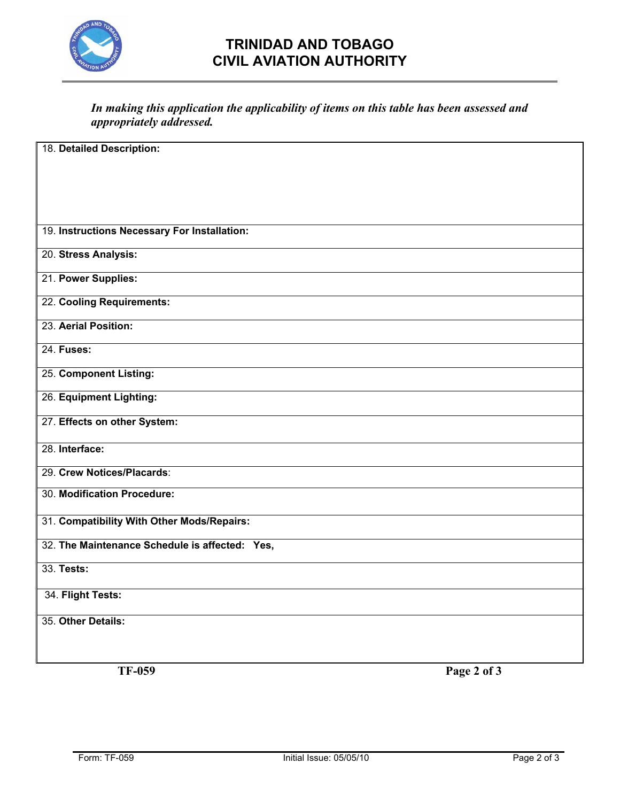

## **TRINIDAD AND TOBAGO CIVIL AVIATION AUTHORITY**

## *In making this application the applicability of items on this table has been assessed and appropriately addressed.*

| 18. Detailed Description:                      |
|------------------------------------------------|
|                                                |
|                                                |
|                                                |
|                                                |
|                                                |
|                                                |
|                                                |
| 19. Instructions Necessary For Installation:   |
|                                                |
|                                                |
| 20. Stress Analysis:                           |
|                                                |
| 21. Power Supplies:                            |
|                                                |
|                                                |
| 22. Cooling Requirements:                      |
|                                                |
| 23. Aerial Position:                           |
|                                                |
|                                                |
| 24. Fuses:                                     |
|                                                |
| 25. Component Listing:                         |
|                                                |
|                                                |
| 26. Equipment Lighting:                        |
|                                                |
| 27. Effects on other System:                   |
|                                                |
|                                                |
| 28. Interface:                                 |
|                                                |
| 29. Crew Notices/Placards:                     |
|                                                |
| 30. Modification Procedure:                    |
|                                                |
|                                                |
| 31. Compatibility With Other Mods/Repairs:     |
|                                                |
|                                                |
| 32. The Maintenance Schedule is affected: Yes, |
|                                                |
| 33. Tests:                                     |
|                                                |
|                                                |
| 34. Flight Tests:                              |
|                                                |
|                                                |
| 35. Other Details:                             |
|                                                |
|                                                |
|                                                |

**TF-059 Page 2 of 3**